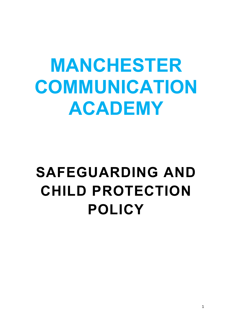# **MANCHESTER COMMUNICATION ACADEMY**

# **SAFEGUARDING AND CHILD PROTECTION POLICY**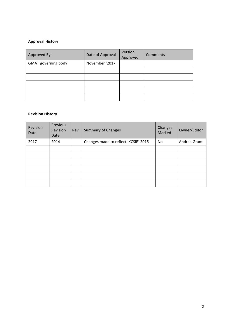# **Approval History**

| Approved By:               | Date of Approval | Version<br>Approved | Comments |
|----------------------------|------------------|---------------------|----------|
| <b>GMAT governing body</b> | November '2017   |                     |          |
|                            |                  |                     |          |
|                            |                  |                     |          |
|                            |                  |                     |          |
|                            |                  |                     |          |
|                            |                  |                     |          |

## **Revision History**

| Revision<br>Date | Previous<br>Revision<br>Date | Rev | <b>Summary of Changes</b>            | Changes<br>Marked | Owner/Editor |
|------------------|------------------------------|-----|--------------------------------------|-------------------|--------------|
| 2017             | 2014                         |     | Changes made to reflect 'KCSIE' 2015 | No                | Andrea Grant |
|                  |                              |     |                                      |                   |              |
|                  |                              |     |                                      |                   |              |
|                  |                              |     |                                      |                   |              |
|                  |                              |     |                                      |                   |              |
|                  |                              |     |                                      |                   |              |
|                  |                              |     |                                      |                   |              |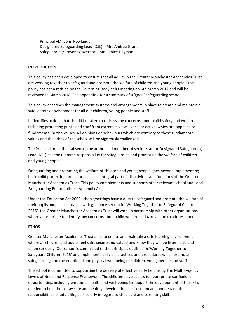Principal -Mr John Rowlands Designated Safeguarding Lead (DSL) - Mrs Andrea Grant Safeguarding/Prevent Governor - Mrs Janice Hayman

#### **INTRODUCTION**

This policy has been developed to ensure that all adults in the Greater Manchester Academies Trust are working together to safeguard and promote the welfare of children and young people. This policy has been ratified by the Governing Body at its meeting on 6th March 2017 and will be reviewed in March 2018. See appendix C for a summary of a 'good' safeguarding school.

This policy describes the management systems and arrangements in place to create and maintain a safe learning environment for all our children, young people and staff.

It identifies actions that should be taken to redress any concerns about child safety and welfare including protecting pupils and staff from extremist views, vocal or active, which are opposed to fundamental British values. All opinions or behaviours which are contrary to these fundamental values and the ethos of the school will be vigorously challenged.

The Principal or, in their absence, the authorised member of senior staff or Designated Safeguarding Lead (DSL) has the ultimate responsibility for safeguarding and promoting the welfare of children and young people.

Safeguarding and promoting the welfare of children and young people goes beyond implementing basic child protection procedures. It is an integral part of all activities and functions of the Greater Manchester Academies Trust. This policy complements and supports other relevant school and Local Safeguarding Board policies (Appendix A).

Under the Education Act 2002 schools/settings have a duty to safeguard and promote the welfare of their pupils and, in accordance with guidance set out in 'Working Together to Safeguard Children 2015', the Greater Manchester Academies Trust will work in partnership with other organisations where appropriate to identify any concerns about child welfare and take action to address them.

#### **ETHOS**

Greater Manchester Academies Trust aims to create and maintain a safe learning environment where all children and adults feel safe, secure and valued and know they will be listened to and taken seriously. Our school is committed to the principles outlined in 'Working Together to Safeguard Children 2015' and implements policies, practices and procedures which promote safeguarding and the emotional and physical well-being of children, young people and staff.

The school is committed to supporting the delivery of effective early help using The Multi- Agency Levels of Need and Response Framework. The children have access to appropriate curriculum opportunities, including emotional health and well-being, to support the development of the skills needed to help them stay safe and healthy, develop their self-esteem and understand the responsibilities of adult life, particularly in regard to child care and parenting skills.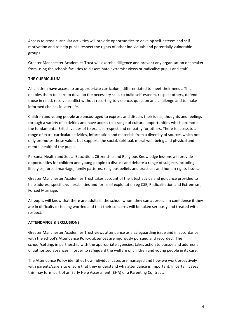Access to cross-curricular activities will provide opportunities to develop self-esteem and selfmotivation and to help pupils respect the rights of other individuals and potentially vulnerable groups. 

Greater Manchester Academies Trust will exercise diligence and prevent any organisation or speaker from using the schools facilities to disseminate extremist views or radicalise pupils and staff.

### **THE CURRICULUM**

All children have access to an appropriate curriculum, differentiated to meet their needs. This enables them to learn to develop the necessary skills to build self-esteem, respect others, defend those in need, resolve conflict without resorting to violence, question and challenge and to make informed choices in later life.

Children and young people are encouraged to express and discuss their ideas, thoughts and feelings through a variety of activities and have access to a range of cultural opportunities which promote the fundamental British values of tolerance, respect and empathy for others. There is access to a range of extra-curricular activities, information and materials from a diversity of sources which not only promotes these values but supports the social, spiritual, moral well-being and physical and mental health of the pupils.

Personal Health and Social Education, Citizenship and Religious Knowledge lessons will provide opportunities for children and young people to discuss and debate a range of subjects including lifestyles, forced marriage, family patterns, religious beliefs and practices and human rights issues.

Greater Manchester Academies Trust takes account of the latest advice and guidance provided to help address specific vulnerabilities and forms of exploitation eg CSE, Radicalisation and Extremism, Forced Marriage.

All pupils will know that there are adults in the school whom they can approach in confidence if they are in difficulty or feeling worried and that their concerns will be taken seriously and treated with respect.

#### **ATTENDANCE & EXCLUSIONS**

Greater Manchester Academies Trust views attendance as a safeguarding issue and in accordance with the school's Attendance Policy, absences are rigorously pursued and recorded. The school/setting, in partnership with the appropriate agencies, takes action to pursue and address all unauthorised absences in order to safeguard the welfare of children and young people in its care.

The Attendance Policy identifies how individual cases are managed and how we work proactively with parents/carers to ensure that they understand why attendance is important. In certain cases this may form part of an Early Help Assessment (EHA) or a Parenting Contract.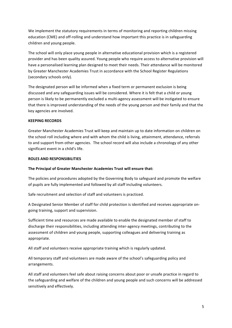We implement the statutory requirements in terms of monitoring and reporting children missing education (CME) and off-rolling and understand how important this practice is in safeguarding children and young people.

The school will only place young people in alternative educational provision which is a registered provider and has been quality assured. Young people who require access to alternative provision will have a personalised learning plan designed to meet their needs. Their attendance will be monitored by Greater Manchester Academies Trust in accordance with the School Register Regulations (secondary schools only).

The designated person will be informed when a fixed term or permanent exclusion is being discussed and any safeguarding issues will be considered. Where it is felt that a child or young person is likely to be permanently excluded a multi-agency assessment will be instigated to ensure that there is improved understanding of the needs of the young person and their family and that the key agencies are involved.

#### **KEEPING RECORDS**

Greater Manchester Academies Trust will keep and maintain up to date information on children on the school roll including where and with whom the child is living, attainment, attendance, referrals to and support from other agencies. The school record will also include a chronology of any other significant event in a child's life.

#### **ROLES AND RESPONSIBILITIES**

#### The Principal of Greater Manchester Academies Trust will ensure that:

The policies and procedures adopted by the Governing Body to safeguard and promote the welfare of pupils are fully implemented and followed by all staff including volunteers.

Safe recruitment and selection of staff and volunteers is practiced.

A Designated Senior Member of staff for child protection is identified and receives appropriate ongoing training, support and supervision.

Sufficient time and resources are made available to enable the designated member of staff to discharge their responsibilities, including attending inter-agency meetings, contributing to the assessment of children and young people, supporting colleagues and delivering training as appropriate.

All staff and volunteers receive appropriate training which is regularly updated.

All temporary staff and volunteers are made aware of the school's safeguarding policy and arrangements.

All staff and volunteers feel safe about raising concerns about poor or unsafe practice in regard to the safeguarding and welfare of the children and young people and such concerns will be addressed sensitively and effectively.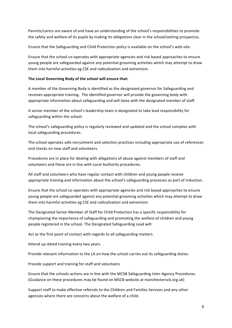Parents/carers are aware of and have an understanding of the school's responsibilities to promote the safety and welfare of its pupils by making its obligations clear in the school/setting prospectus.

Ensure that the Safeguarding and Child Protection policy is available on the school's web-site.

Ensure that the school co-operates with appropriate agencies and risk based approaches to ensure young people are safeguarded against any potential grooming activities which may attempt to draw them into harmful activities eg CSE and radicalization and extremism.

#### The Local Governing Body of the school will ensure that:

A member of the Governing Body is identified as the designated governor for Safeguarding and receives appropriate training. The identified governor will provide the governing body with appropriate information about safeguarding and will liaise with the designated member of staff.

A senior member of the school's leadership team is designated to take lead responsibility for safeguarding within the school.

The school's safeguarding policy is regularly reviewed and updated and the school complies with local safeguarding procedures.

The school operates safe recruitment and selection practices including appropriate use of references and checks on new staff and volunteers.

Procedures are in place for dealing with allegations of abuse against members of staff and volunteers and these are in line with Local Authority procedures.

All staff and volunteers who have regular contact with children and young people receive appropriate training and information about the school's safeguarding processes as part of induction.

Ensure that the school co-operates with appropriate agencies and risk based approaches to ensure young people are safeguarded against any potential grooming activities which may attempt to draw them into harmful activities eg CSE and radicalization and extremism.

The Designated Senior Member of Staff for Child Protection has a specific responsibility for championing the importance of safeguarding and promoting the welfare of children and young people registered in the school. The Designated Safeguarding Lead will:

Act as the first point of contact with regards to all safeguarding matters.

Attend up-dated training every two years.

Provide relevant information to the LA on how the school carries out its safeguarding duties.

Provide support and training for staff and volunteers

Ensure that the schools actions are in line with the MCSB Safeguarding Inter-Agency Procedures. (Guidance on these procedures may be found on MSCB website at manchesterscb.org.uk)

Support staff to make effective referrals to the Children and Families Services and any other agencies where there are concerns about the welfare of a child.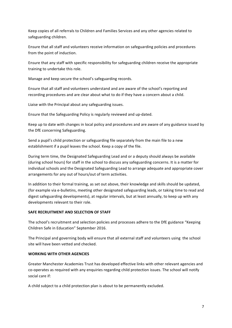Keep copies of all referrals to Children and Families Services and any other agencies related to safeguarding children.

Ensure that all staff and volunteers receive information on safeguarding policies and procedures from the point of induction.

Ensure that any staff with specific responsibility for safeguarding children receive the appropriate training to undertake this role.

Manage and keep secure the school's safeguarding records.

Ensure that all staff and volunteers understand and are aware of the school's reporting and recording procedures and are clear about what to do if they have a concern about a child.

Liaise with the Principal about any safeguarding issues.

Ensure that the Safeguarding Policy is regularly reviewed and up-dated.

Keep up to date with changes in local policy and procedures and are aware of any guidance issued by the DfE concerning Safeguarding.

Send a pupil's child protection or safeguarding file separately from the main file to a new establishment if a pupil leaves the school. Keep a copy of the file.

During term time, the Designated Safeguarding Lead and or a deputy should always be available (during school hours) for staff in the school to discuss any safeguarding concerns. It is a matter for individual schools and the Designated Safeguarding Lead to arrange adequate and appropriate cover arrangements for any out of hours/out of term activities.

In addition to their formal training, as set out above, their knowledge and skills should be updated, (for example via e-bulletins, meeting other designated safeguarding leads, or taking time to read and digest safeguarding developments), at regular intervals, but at least annually, to keep up with any developments relevant to their role.

#### **SAFE RECRUITMENT AND SELECTION OF STAFF**

The school's recruitment and selection policies and processes adhere to the DfE guidance "Keeping Children Safe in Education" September 2016.

The Principal and governing body will ensure that all external staff and volunteers using the school site will have been vetted and checked.

#### WORKING WITH OTHER AGENCIES

Greater Manchester Academies Trust has developed effective links with other relevant agencies and co-operates as required with any enquiries regarding child protection issues. The school will notify social care if:

A child subject to a child protection plan is about to be permanently excluded.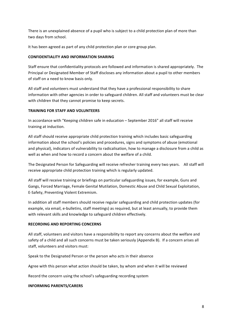There is an unexplained absence of a pupil who is subject to a child protection plan of more than two days from school.

It has been agreed as part of any child protection plan or core group plan.

#### **CONFIDENTIALITY AND INFORMATION SHARING**

Staff ensure that confidentiality protocols are followed and information is shared appropriately. The Principal or Designated Member of Staff discloses any information about a pupil to other members of staff on a need to know basis only.

All staff and volunteers must understand that they have a professional responsibility to share information with other agencies in order to safeguard children. All staff and volunteers must be clear with children that they cannot promise to keep secrets.

#### **TRAINING FOR STAFF AND VOLUNTEERS**

In accordance with "Keeping children safe in education - September 2016" all staff will receive training at induction.

All staff should receive appropriate child protection training which includes basic safeguarding information about the school's policies and procedures, signs and symptoms of abuse (emotional and physical), indicators of vulnerability to radicalisation, how to manage a disclosure from a child as well as when and how to record a concern about the welfare of a child.

The Designated Person for Safeguarding will receive refresher training every two years. All staff will receive appropriate child protection training which is regularly updated.

All staff will receive training or briefings on particular safeguarding issues, for example, Guns and Gangs, Forced Marriage, Female Genital Mutilation, Domestic Abuse and Child Sexual Exploitation, E-Safety, Preventing Violent Extremism.

In addition all staff members should receive regular safeguarding and child protection updates (for example, via email, e-bulletins, staff meetings) as required, but at least annually, to provide them with relevant skills and knowledge to safeguard children effectively.

#### **RECORDING AND REPORTING CONCERNS**

All staff, volunteers and visitors have a responsibility to report any concerns about the welfare and safety of a child and all such concerns must be taken seriously (Appendix B). If a concern arises all staff, volunteers and visitors must:

Speak to the Designated Person or the person who acts in their absence

Agree with this person what action should be taken, by whom and when it will be reviewed

Record the concern using the school's safeguarding recording system

#### **INFORMING PARENTS/CARERS**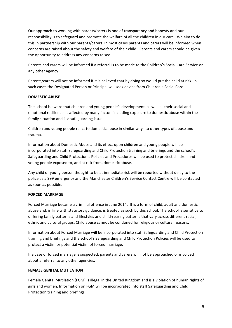Our approach to working with parents/carers is one of transparency and honesty and our responsibility is to safeguard and promote the welfare of all the children in our care. We aim to do this in partnership with our parents/carers. In most cases parents and carers will be informed when concerns are raised about the safety and welfare of their child. Parents and carers should be given the opportunity to address any concerns raised.

Parents and carers will be informed if a referral is to be made to the Children's Social Care Service or any other agency.

Parents/carers will not be informed if it is believed that by doing so would put the child at risk. In such cases the Designated Person or Principal will seek advice from Children's Social Care.

#### **DOMESTIC ABUSE**

The school is aware that children and young people's development, as well as their social and emotional resilience, is affected by many factors including exposure to domestic abuse within the family situation and is a safeguarding issue.

Children and young people react to domestic abuse in similar ways to other types of abuse and trauma.

Information about Domestic Abuse and its effect upon children and young people will be incorporated into staff Safeguarding and Child Protection training and briefings and the school's Safeguarding and Child Protection's Policies and Procedures will be used to protect children and young people exposed to, and at risk from, domestic abuse.

Any child or young person thought to be at immediate risk will be reported without delay to the police as a 999 emergency and the Manchester Children's Service Contact Centre will be contacted as soon as possible.

#### **FORCED MARRIAGE**

Forced Marriage became a criminal offence in June 2014. It is a form of child, adult and domestic abuse and, in line with statutory guidance, is treated as such by this school. The school is sensitive to differing family patterns and lifestyles and child-rearing patterns that vary across different racial, ethnic and cultural groups. Child abuse cannot be condoned for religious or cultural reasons.

Information about Forced Marriage will be incorporated into staff Safeguarding and Child Protection training and briefings and the school's Safeguarding and Child Protection Policies will be used to protect a victim or potential victim of forced marriage.

If a case of forced marriage is suspected, parents and carers will not be approached or involved about a referral to any other agencies.

#### **FEMALE GENITAL MUTILATION**

Female Genital Mutilation (FGM) is illegal in the United Kingdom and is a violation of human rights of girls and women. Information on FGM will be incorporated into staff Safeguarding and Child Protection training and briefings.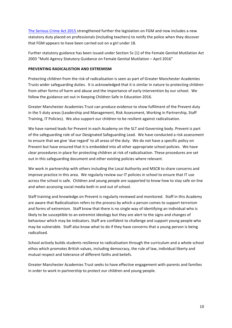The Serious Crime Act 2015 strengthened further the legislation on FGM and now includes a new statutory duty placed on professionals (including teachers) to notify the police when they discover that FGM appears to have been carried out on a girl under 18.

Further statutory guidance has been issued under Section 5c (1) of the Female Genital Mutilation Act 2003 "Multi Agency Statutory Guidance on Female Genital Mutilation - April 2016"

#### **PREVENTING RADICALISTION AND EXTREMISM**

Protecting children from the risk of radicalisation is seen as part of Greater Manchester Academies Trusts wider safeguarding duties. It is acknowledged that it is similar in nature to protecting children from other forms of harm and abuse and the importance of early intervention by our school. We follow the guidance set out in Keeping Children Safe in Education 2016.

Greater Manchester Academies Trust can produce evidence to show fulfilment of the Prevent duty in the 5 duty areas (Leadership and Management, Risk Assessment, Working in Partnership, Staff Training, IT Policies). We also support our children to be resilient against radicalisation.

We have named leads for Prevent in each Academy on the SLT and Governing body. Prevent is part of the safeguarding role of our Designated Safeguarding Lead. We have conducted a risk assessment to ensure that we give 'due regard' to all areas of the duty. We do not have a specific policy on Prevent but have ensured that it is embedded into all other appropriate school policies. We have clear procedures in place for protecting children at risk of radicalisation. These procedures are set out in this safeguarding document and other existing policies where relevant.

We work in partnership with others including the Local Authority and MSCB to share concerns and improve practice in this area. We regularly review our IT policies in school to ensure that IT use across the school is safe. Children and young people are supported to know how to stay safe on line and when accessing social media both in and out of school.

Staff training and knowledge on Prevent is regularly reviewed and monitored. Staff in this Academy are aware that Radicalisation refers to the process by which a person comes to support terrorism and forms of extremism. Staff know that there is no single way of identifying an individual who is likely to be susceptible to an extremist ideology but they are alert to the signs and changes of behaviour which may be indicators. Staff are confident to challenge and support young people who may be vulnerable. Staff also know what to do if they have concerns that a young person is being radicalised. 

School actively builds students resilience to radicalisation through the curriculum and a whole school ethos which promotes British values, including democracy, the rule of law, individual liberty and mutual respect and tolerance of different faiths and beliefs.

Greater Manchester Academies Trust seeks to have effective engagement with parents and families in order to work in partnership to protect our children and young people.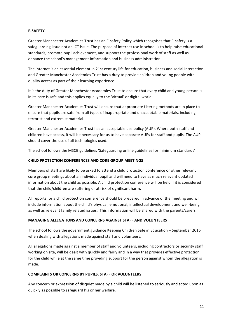#### **E-SAFETY**

Greater Manchester Academies Trust has an E-safety Policy which recognises that E-safety is a safeguarding issue not an ICT issue. The purpose of internet use in school is to help raise educational standards, promote pupil achievement, and support the professional work of staff as well as enhance the school's management information and business administration.

The internet is an essential element in 21st century life for education, business and social interaction and Greater Manchester Academies Trust has a duty to provide children and young people with quality access as part of their learning experience.

It is the duty of Greater Manchester Academies Trust to ensure that every child and young person is in its care is safe and this applies equally to the 'virtual' or digital world.

Greater Manchester Academies Trust will ensure that appropriate filtering methods are in place to ensure that pupils are safe from all types of inappropriate and unacceptable materials, including terrorist and extremist material.

Greater Manchester Academies Trust has an acceptable use policy (AUP). Where both staff and children have access, it will be necessary for us to have separate AUPs for staff and pupils. The AUP should cover the use of all technologies used.

The school follows the MSCB guidelines 'Safeguarding online guidelines for minimum standards'

#### **CHILD PROTECTION CONFERENCES AND CORE GROUP MEETINGS**

Members of staff are likely to be asked to attend a child protection conference or other relevant core group meetings about an individual pupil and will need to have as much relevant updated information about the child as possible. A child protection conference will be held if it is considered that the child/children are suffering or at risk of significant harm.

All reports for a child protection conference should be prepared in advance of the meeting and will include information about the child's physical, emotional, intellectual development and well-being as well as relevant family related issues. This information will be shared with the parents/carers.

#### **MANAGING ALLEGATIONS AND CONCERNS AGAINST STAFF AND VOLUNTEERS**

The school follows the government guidance Keeping Children Safe in Education – September 2016 when dealing with allegations made against staff and volunteers.

All allegations made against a member of staff and volunteers, including contractors or security staff working on site, will be dealt with quickly and fairly and in a way that provides effective protection for the child while at the same time providing support for the person against whom the allegation is made.

#### **COMPLAINTS OR CONCERNS BY PUPILS, STAFF OR VOLUNTEERS**

Any concern or expression of disquiet made by a child will be listened to seriously and acted upon as quickly as possible to safeguard his or her welfare.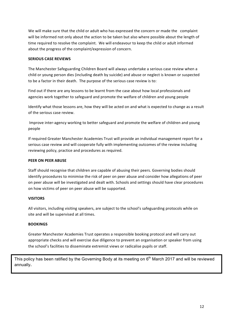We will make sure that the child or adult who has expressed the concern or made the complaint will be informed not only about the action to be taken but also where possible about the length of time required to resolve the complaint. We will endeavour to keep the child or adult informed about the progress of the complaint/expression of concern.

#### **SERIOUS CASE REVIEWS**

The Manchester Safeguarding Children Board will always undertake a serious case review when a child or young person dies (including death by suicide) and abuse or neglect is known or suspected to be a factor in their death. The purpose of the serious case review is to:

Find out if there are any lessons to be learnt from the case about how local professionals and agencies work together to safeguard and promote the welfare of children and young people

Identify what those lessons are, how they will be acted on and what is expected to change as a result of the serious case review.

Improve inter-agency working to better safeguard and promote the welfare of children and young people

If required Greater Manchester Academies Trust will provide an individual management report for a serious case review and will cooperate fully with implementing outcomes of the review including reviewing policy, practice and procedures as required.

#### **PEER ON PEER ABUSE**

Staff should recognise that children are capable of abusing their peers. Governing bodies should identify procedures to minimise the risk of peer on peer abuse and consider how allegations of peer on peer abuse will be investigated and dealt with. Schools and settings should have clear procedures on how victims of peer on peer abuse will be supported.

#### **VISITORS**

All visitors, including visiting speakers, are subject to the school's safeguarding protocols while on site and will be supervised at all times.

#### **BOOKINGS**

Greater Manchester Academies Trust operates a responsible booking protocol and will carry out appropriate checks and will exercise due diligence to prevent an organisation or speaker from using the school's facilities to disseminate extremist views or radicalise pupils or staff.

 $G$  is the constitution of the Comming Deduction as effection on  $\mathcal{C}^{\text{th}}$  Month 2017 and will be appropriate social channol stylence containing zought at no modifigence. Intervent  $\omega$  is a from solid  $\omega$  $\mathbf{t}$  the school is to disseminate  $\mathbf{t}$ This policy has been ratified by the Governing Body at its meeting on 6<sup>th</sup> March 2017 and will be reviewed annually**.**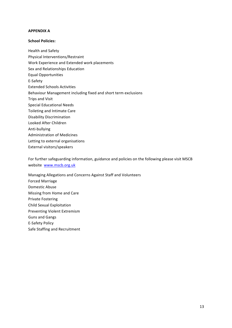#### **APPENDIX A**

#### **School Policies:**

Health and Safety Physical Interventions/Restraint Work Experience and Extended work placements Sex and Relationships Education Equal Opportunities E-Safety Extended Schools Activities Behaviour Management including fixed and short term exclusions Trips and Visit Special Educational Needs Toileting and Intimate Care Disability Discrimination Looked After Children Anti-bullying Administration of Medicines Letting to external organisations External visitors/speakers

For further safeguarding information, guidance and policies on the following please visit MSCB website www.mscb.org.uk

Managing Allegations and Concerns Against Staff and Volunteers Forced Marriage Domestic Abuse Missing from Home and Care Private Fostering Child Sexual Exploitation Preventing Violent Extremism Guns and Gangs E-Safety Policy Safe Staffing and Recruitment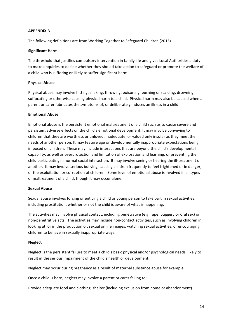#### **APPENDIX B**

The following definitions are from Working Together to Safeguard Children (2015)

#### **Significant Harm**

The threshold that justifies compulsory intervention in family life and gives Local Authorities a duty to make enquiries to decide whether they should take action to safeguard or promote the welfare of a child who is suffering or likely to suffer significant harm.

#### **Physical Abuse**

Physical abuse may involve hitting, shaking, throwing, poisoning, burning or scalding, drowning, suffocating or otherwise causing physical harm to a child. Physical harm may also be caused when a parent or carer fabricates the symptoms of, or deliberately induces an illness in a child.

#### **Emotional Abuse**

Emotional abuse is the persistent emotional maltreatment of a child such as to cause severe and persistent adverse effects on the child's emotional development. It may involve conveying to children that they are worthless or unloved, inadequate, or valued only insofar as they meet the needs of another person. It may feature age or developmentally inappropriate expectations being imposed on children. These may include interactions that are beyond the child's developmental capability, as well as overprotection and limitation of exploration and learning, or preventing the child participating in normal social interaction. It may involve seeing or hearing the ill-treatment of another. It may involve serious bullying, causing children frequently to feel frightened or in danger, or the exploitation or corruption of children. Some level of emotional abuse is involved in all types of maltreatment of a child, though it may occur alone.

#### **Sexual Abuse**

Sexual abuse involves forcing or enticing a child or young person to take part in sexual activities, including prostitution, whether or not the child is aware of what is happening.

The activities may involve physical contact, including penetrative (e.g. rape, buggery or oral sex) or non-penetrative acts. The activities may include non-contact activities, such as involving children in looking at, or in the production of, sexual online images, watching sexual activities, or encouraging children to behave in sexually inappropriate ways.

#### **Neglect**

Neglect is the persistent failure to meet a child's basic physical and/or psychological needs, likely to result in the serious impairment of the child's health or development.

Neglect may occur during pregnancy as a result of maternal substance abuse for example.

Once a child is born, neglect may involve a parent or carer failing to:

Provide adequate food and clothing, shelter (including exclusion from home or abandonment).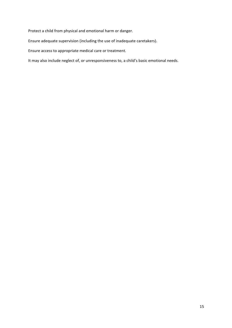Protect a child from physical and emotional harm or danger.

Ensure adequate supervision (including the use of inadequate caretakers).

Ensure access to appropriate medical care or treatment.

It may also include neglect of, or unresponsiveness to, a child's basic emotional needs.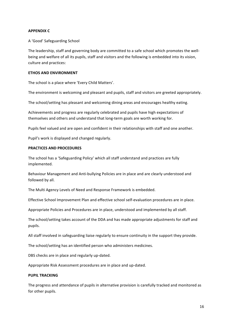#### **APPENDIX C**

A 'Good' Safeguarding School

The leadership, staff and governing body are committed to a safe school which promotes the wellbeing and welfare of all its pupils, staff and visitors and the following is embedded into its vision, culture and practices:

#### **ETHOS AND ENVIRONMENT**

The school is a place where 'Every Child Matters'.

The environment is welcoming and pleasant and pupils, staff and visitors are greeted appropriately.

The school/setting has pleasant and welcoming dining areas and encourages healthy eating.

Achievements and progress are regularly celebrated and pupils have high expectations of themselves and others and understand that long-term goals are worth working for.

Pupils feel valued and are open and confident in their relationships with staff and one another.

Pupil's work is displayed and changed regularly.

#### **PRACTICES AND PROCEDURES**

The school has a 'Safeguarding Policy' which all staff understand and practices are fully implemented.

Behaviour Management and Anti-bullying Policies are in place and are clearly understood and followed by all.

The Multi Agency Levels of Need and Response Framework is embedded.

Effective School Improvement Plan and effective school self-evaluation procedures are in place.

Appropriate Policies and Procedures are in place, understood and implemented by all staff.

The school/setting takes account of the DDA and has made appropriate adjustments for staff and pupils.

All staff involved in safeguarding liaise regularly to ensure continuity in the support they provide.

The school/setting has an identified person who administers medicines.

DBS checks are in place and regularly up-dated.

Appropriate Risk Assessment procedures are in place and up-dated.

#### **PUPIL TRACKING**

The progress and attendance of pupils in alternative provision is carefully tracked and monitored as for other pupils.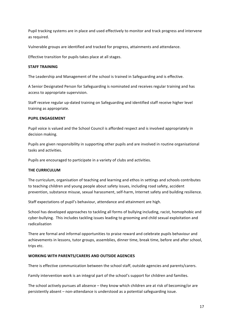Pupil tracking systems are in place and used effectively to monitor and track progress and intervene as required.

Vulnerable groups are identified and tracked for progress, attainments and attendance.

Effective transition for pupils takes place at all stages.

#### **STAFF TRAINING**

The Leadership and Management of the school is trained in Safeguarding and is effective.

A Senior Designated Person for Safeguarding is nominated and receives regular training and has access to appropriate supervision.

Staff receive regular up-dated training on Safeguarding and identified staff receive higher level training as appropriate.

#### **PUPIL ENGAGEMENT**

Pupil voice is valued and the School Council is afforded respect and is involved appropriately in decision making.

Pupils are given responsibility in supporting other pupils and are involved in routine organisational tasks and activities.

Pupils are encouraged to participate in a variety of clubs and activities.

#### **THE CURRICULUM**

The curriculum, organisation of teaching and learning and ethos in settings and schools contributes to teaching children and young people about safety issues, including road safety, accident prevention, substance misuse, sexual harassment, self-harm, Internet safety and building resilience.

Staff expectations of pupil's behaviour, attendance and attainment are high.

School has developed approaches to tackling all forms of bullying including, racist, homophobic and cyber-bullying. This includes tackling issues leading to grooming and child sexual exploitation and radicalisation

There are formal and informal opportunities to praise reward and celebrate pupils behaviour and achievements in lessons, tutor groups, assemblies, dinner time, break time, before and after school, trips etc.

#### **WORKING WITH PARENTS/CARERS AND OUTSIDE AGENCIES**

There is effective communication between the school staff, outside agencies and parents/carers.

Family intervention work is an integral part of the school's support for children and families.

The school actively pursues all absence - they know which children are at risk of becoming/or are persistently absent - non-attendance is understood as a potential safeguarding issue.